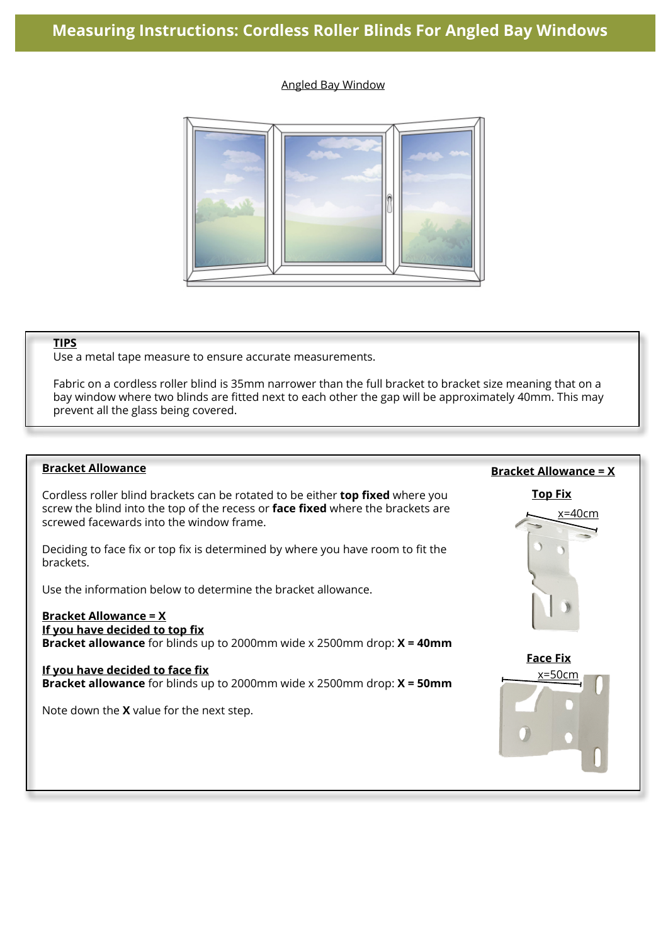### Angled Bay Window



#### **TIPS**

Use a metal tape measure to ensure accurate measurements.

Fabric on a cordless roller blind is 35mm narrower than the full bracket to bracket size meaning that on a bay window where two blinds are fitted next to each other the gap will be approximately 40mm. This may prevent all the glass being covered.

#### **Bracket Allowance**

Cordless roller blind brackets can be rotated to be either **top fixed** where you screw the blind into the top of the recess or **face fixed** where the brackets are screwed facewards into the window frame.

Deciding to face fix or top fix is determined by where you have room to fit the brackets.

Use the information below to determine the bracket allowance.

#### **Bracket Allowance = X If you have decided to top fix**

**Bracket allowance** for blinds up to 2000mm wide x 2500mm drop: **X = 40mm**

#### **If you have decided to face fix**

**Bracket allowance** for blinds up to 2000mm wide x 2500mm drop: **X = 50mm**

Note down the **X** value for the next step.